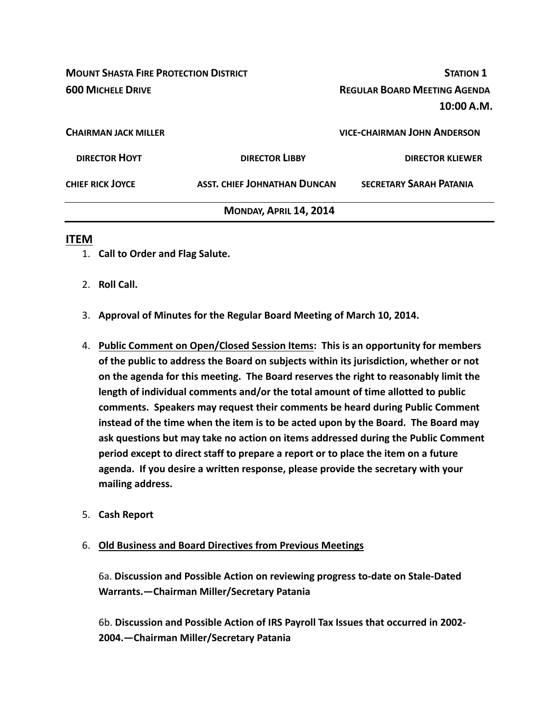| <b>MOUNT SHASTA FIRE PROTECTION DISTRICT</b> |                                     | <b>STATION 1</b>                                  |  |
|----------------------------------------------|-------------------------------------|---------------------------------------------------|--|
| <b>600 MICHELE DRIVE</b>                     |                                     | <b>REGULAR BOARD MEETING AGENDA</b><br>10:00 A.M. |  |
| <b>CHAIRMAN JACK MILLER</b>                  |                                     | <b>VICE-CHAIRMAN JOHN ANDERSON</b>                |  |
| <b>DIRECTOR HOYT</b>                         | <b>DIRECTOR LIBBY</b>               | <b>DIRECTOR KLIEWER</b>                           |  |
| <b>CHIEF RICK JOYCE</b>                      | <b>ASST. CHIEF JOHNATHAN DUNCAN</b> | <b>SECRETARY SARAH PATANIA</b>                    |  |
|                                              | MONDAY, APRIL 14, 2014              |                                                   |  |

## **ITEM**

- 1. **Call to Order and Flag Salute.**
- 2. **Roll Call.**
- 3. **Approval of Minutes for the Regular Board Meeting of March 10, 2014.**
- 4. **Public Comment on Open/Closed Session Items: This is an opportunity for members of the public to address the Board on subjects within its jurisdiction, whether or not on the agenda for this meeting. The Board reserves the right to reasonably limit the length of individual comments and/or the total amount of time allotted to public comments. Speakers may request their comments be heard during Public Comment instead of the time when the item is to be acted upon by the Board. The Board may ask questions but may take no action on items addressed during the Public Comment period except to direct staff to prepare a report or to place the item on a future agenda. If you desire a written response, please provide the secretary with your mailing address.**
- 5. **Cash Report**
- 6. **Old Business and Board Directives from Previous Meetings**

6a. **Discussion and Possible Action on reviewing progress to‐date on Stale‐Dated Warrants.—Chairman Miller/Secretary Patania**

6b. **Discussion and Possible Action of IRS Payroll Tax Issues that occurred in 2002‐ 2004.—Chairman Miller/Secretary Patania**